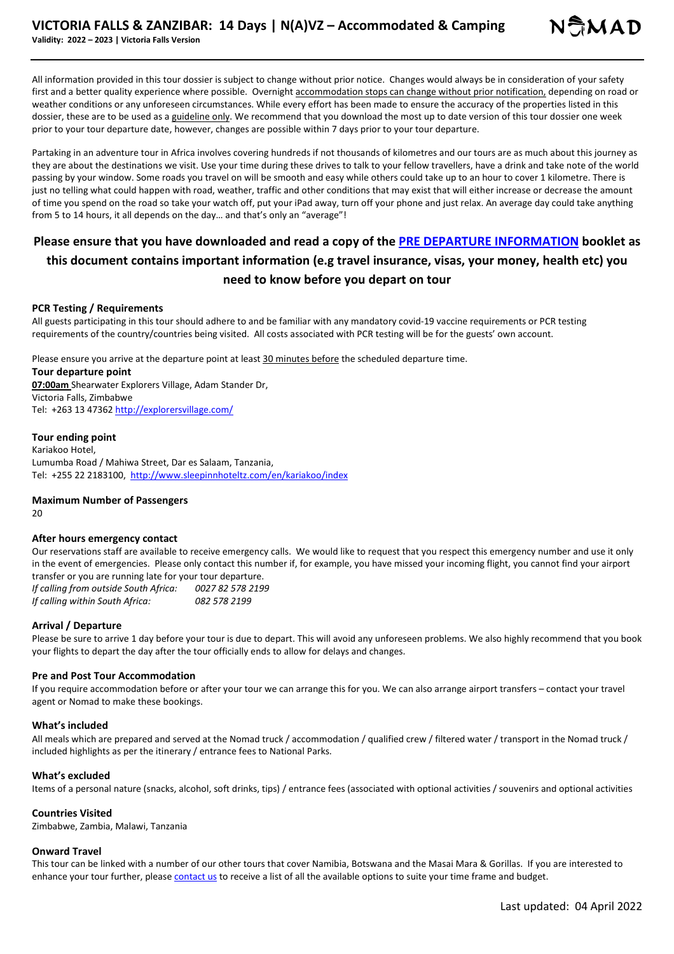All information provided in this tour dossier is subject to change without prior notice. Changes would always be in consideration of your safety first and a better quality experience where possible. Overnight accommodation stops can change without prior notification, depending on road or weather conditions or any unforeseen circumstances. While every effort has been made to ensure the accuracy of the properties listed in this dossier, these are to be used as a guideline only. We recommend that you download the most up to date version of this tour dossier one week prior to your tour departure date, however, changes are possible within 7 days prior to your tour departure.

Partaking in an adventure tour in Africa involves covering hundreds if not thousands of kilometres and our tours are as much about this journey as they are about the destinations we visit. Use your time during these drives to talk to your fellow travellers, have a drink and take note of the world passing by your window. Some roads you travel on will be smooth and easy while others could take up to an hour to cover 1 kilometre. There is just no telling what could happen with road, weather, traffic and other conditions that may exist that will either increase or decrease the amount of time you spend on the road so take your watch off, put your iPad away, turn off your phone and just relax. An average day could take anything from 5 to 14 hours, it all depends on the day… and that's only an "average"!

# **Please ensure that you have downloaded and read a copy of the PRE DEPARTURE INFORMATION booklet as this document contains important information (e.g travel insurance, visas, your money, health etc) you need to know before you depart on tour**

### **PCR Testing / Requirements**

All guests participating in this tour should adhere to and be familiar with any mandatory covid-19 vaccine requirements or PCR testing requirements of the country/countries being visited. All costs associated with PCR testing will be for the guests' own account.

Please ensure you arrive at the departure point at least 30 minutes before the scheduled departure time.

#### **Tour departure point**

**07:00am** Shearwater Explorers Village, Adam Stander Dr, Victoria Falls, Zimbabwe Tel: +263 13 47362 http://explorersvillage.com/

## **Tour ending point**

Kariakoo Hotel, Lumumba Road / Mahiwa Street, Dar es Salaam, Tanzania, Tel: +255 22 2183100, http://www.sleepinnhoteltz.com/en/kariakoo/index

### **Maximum Number of Passengers**

20

### **After hours emergency contact**

Our reservations staff are available to receive emergency calls. We would like to request that you respect this emergency number and use it only in the event of emergencies. Please only contact this number if, for example, you have missed your incoming flight, you cannot find your airport transfer or you are running late for your tour departure.

*If calling from outside South Africa: 0027 82 578 2199 If calling within South Africa: 082 578 2199*

### **Arrival / Departure**

Please be sure to arrive 1 day before your tour is due to depart. This will avoid any unforeseen problems. We also highly recommend that you book your flights to depart the day after the tour officially ends to allow for delays and changes.

#### **Pre and Post Tour Accommodation**

If you require accommodation before or after your tour we can arrange this for you. We can also arrange airport transfers – contact your travel agent or Nomad to make these bookings.

#### **What's included**

All meals which are prepared and served at the Nomad truck / accommodation / qualified crew / filtered water / transport in the Nomad truck / included highlights as per the itinerary / entrance fees to National Parks.

### **What's excluded**

Items of a personal nature (snacks, alcohol, soft drinks, tips) / entrance fees (associated with optional activities / souvenirs and optional activities

#### **Countries Visited**

Zimbabwe, Zambia, Malawi, Tanzania

### **Onward Travel**

This tour can be linked with a number of our other tours that cover Namibia, Botswana and the Masai Mara & Gorillas. If you are interested to enhance your tour further, please contact us to receive a list of all the available options to suite your time frame and budget.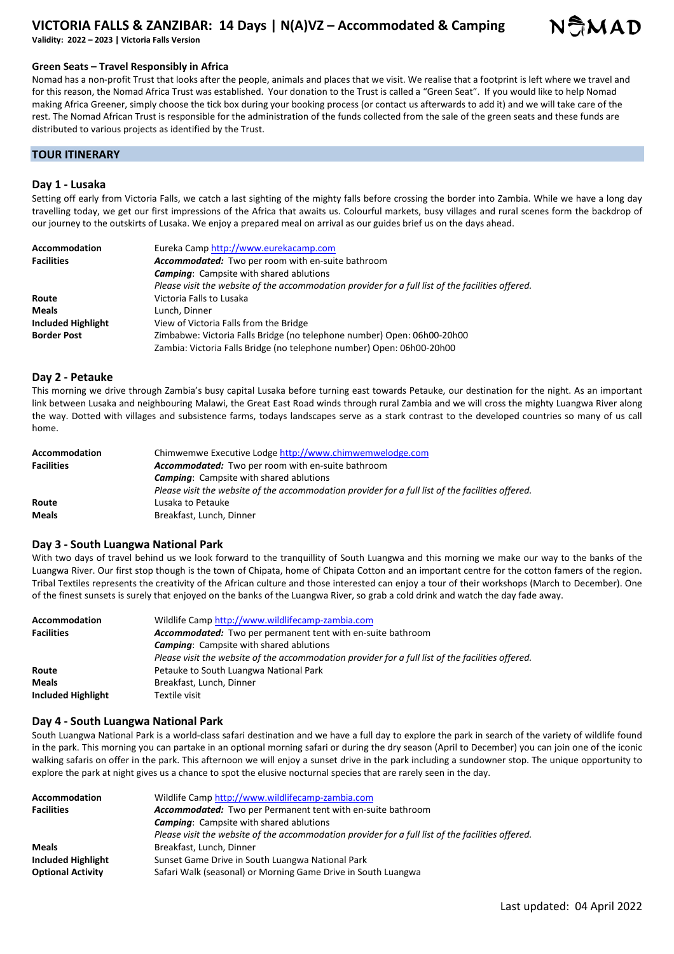# **VICTORIA FALLS & ZANZIBAR: 14 Days | N(A)VZ – Accommodated & Camping**



**Validity: 2022 – 2023 | Victoria Falls Version** 

### **Green Seats – Travel Responsibly in Africa**

Nomad has a non-profit Trust that looks after the people, animals and places that we visit. We realise that a footprint is left where we travel and for this reason, the Nomad Africa Trust was established. Your donation to the Trust is called a "Green Seat". If you would like to help Nomad making Africa Greener, simply choose the tick box during your booking process (or contact us afterwards to add it) and we will take care of the rest. The Nomad African Trust is responsible for the administration of the funds collected from the sale of the green seats and these funds are distributed to various projects as identified by the Trust.

## **TOUR ITINERARY**

#### **Day 1 - Lusaka**

Setting off early from Victoria Falls, we catch a last sighting of the mighty falls before crossing the border into Zambia. While we have a long day travelling today, we get our first impressions of the Africa that awaits us. Colourful markets, busy villages and rural scenes form the backdrop of our journey to the outskirts of Lusaka. We enjoy a prepared meal on arrival as our guides brief us on the days ahead.

| Accommodation      | Eureka Camp http://www.eurekacamp.com                                                             |
|--------------------|---------------------------------------------------------------------------------------------------|
| <b>Facilities</b>  | Accommodated: Two per room with en-suite bathroom                                                 |
|                    | <b>Camping:</b> Campsite with shared ablutions                                                    |
|                    | Please visit the website of the accommodation provider for a full list of the facilities offered. |
| Route              | Victoria Falls to Lusaka                                                                          |
| Meals              | Lunch. Dinner                                                                                     |
| Included Highlight | View of Victoria Falls from the Bridge                                                            |
| <b>Border Post</b> | Zimbabwe: Victoria Falls Bridge (no telephone number) Open: 06h00-20h00                           |
|                    | Zambia: Victoria Falls Bridge (no telephone number) Open: 06h00-20h00                             |

#### **Day 2 - Petauke**

This morning we drive through Zambia's busy capital Lusaka before turning east towards Petauke, our destination for the night. As an important link between Lusaka and neighbouring Malawi, the Great East Road winds through rural Zambia and we will cross the mighty Luangwa River along the way. Dotted with villages and subsistence farms, todays landscapes serve as a stark contrast to the developed countries so many of us call home.

| Accommodation     | Chimwemwe Executive Lodge http://www.chimwemwelodge.com                                           |
|-------------------|---------------------------------------------------------------------------------------------------|
| <b>Facilities</b> | Accommodated: Two per room with en-suite bathroom                                                 |
|                   | <b>Camping:</b> Campsite with shared ablutions                                                    |
|                   | Please visit the website of the accommodation provider for a full list of the facilities offered. |
| Route             | Lusaka to Petauke                                                                                 |
| <b>Meals</b>      | Breakfast, Lunch, Dinner                                                                          |

### **Day 3 - South Luangwa National Park**

With two days of travel behind us we look forward to the tranquillity of South Luangwa and this morning we make our way to the banks of the Luangwa River. Our first stop though is the town of Chipata, home of Chipata Cotton and an important centre for the cotton famers of the region. Tribal Textiles represents the creativity of the African culture and those interested can enjoy a tour of their workshops (March to December). One of the finest sunsets is surely that enjoyed on the banks of the Luangwa River, so grab a cold drink and watch the day fade away.

| Accommodation      | Wildlife Camp http://www.wildlifecamp-zambia.com                                                  |
|--------------------|---------------------------------------------------------------------------------------------------|
| <b>Facilities</b>  | Accommodated: Two per permanent tent with en-suite bathroom                                       |
|                    | <b>Camping:</b> Campsite with shared ablutions                                                    |
|                    | Please visit the website of the accommodation provider for a full list of the facilities offered. |
| Route              | Petauke to South Luangwa National Park                                                            |
| <b>Meals</b>       | Breakfast, Lunch, Dinner                                                                          |
| Included Highlight | Textile visit                                                                                     |

#### **Day 4 - South Luangwa National Park**

South Luangwa National Park is a world-class safari destination and we have a full day to explore the park in search of the variety of wildlife found in the park. This morning you can partake in an optional morning safari or during the dry season (April to December) you can join one of the iconic walking safaris on offer in the park. This afternoon we will enjoy a sunset drive in the park including a sundowner stop. The unique opportunity to explore the park at night gives us a chance to spot the elusive nocturnal species that are rarely seen in the day.

| Accommodation            | Wildlife Camp http://www.wildlifecamp-zambia.com                                                  |
|--------------------------|---------------------------------------------------------------------------------------------------|
| <b>Facilities</b>        | Accommodated: Two per Permanent tent with en-suite bathroom                                       |
|                          | <b>Camping:</b> Campsite with shared ablutions                                                    |
|                          | Please visit the website of the accommodation provider for a full list of the facilities offered. |
| <b>Meals</b>             | Breakfast, Lunch, Dinner                                                                          |
| Included Highlight       | Sunset Game Drive in South Luangwa National Park                                                  |
| <b>Optional Activity</b> | Safari Walk (seasonal) or Morning Game Drive in South Luangwa                                     |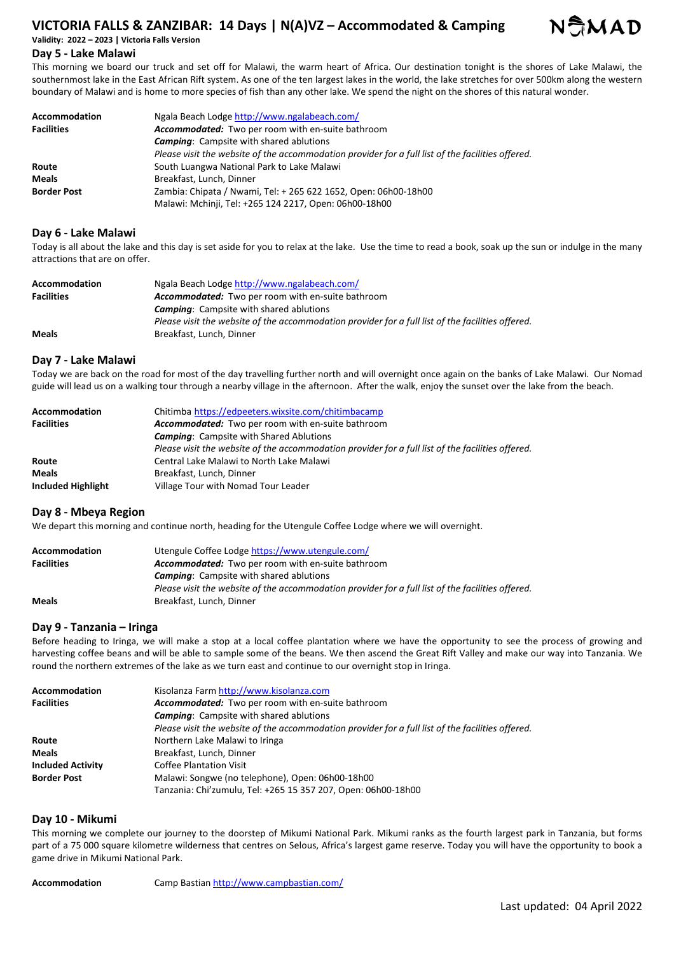# **VICTORIA FALLS & ZANZIBAR: 14 Days | N(A)VZ – Accommodated & Camping**

**Validity: 2022 – 2023 | Victoria Falls Version** 

# **Day 5 - Lake Malawi**

This morning we board our truck and set off for Malawi, the warm heart of Africa. Our destination tonight is the shores of Lake Malawi, the southernmost lake in the East African Rift system. As one of the ten largest lakes in the world, the lake stretches for over 500km along the western boundary of Malawi and is home to more species of fish than any other lake. We spend the night on the shores of this natural wonder.

| Accommodation      | Ngala Beach Lodge http://www.ngalabeach.com/                                                      |
|--------------------|---------------------------------------------------------------------------------------------------|
| <b>Facilities</b>  | Accommodated: Two per room with en-suite bathroom                                                 |
|                    | <b>Camping:</b> Campsite with shared ablutions                                                    |
|                    | Please visit the website of the accommodation provider for a full list of the facilities offered. |
| Route              | South Luangwa National Park to Lake Malawi                                                        |
| <b>Meals</b>       | Breakfast, Lunch, Dinner                                                                          |
| <b>Border Post</b> | Zambia: Chipata / Nwami, Tel: + 265 622 1652, Open: 06h00-18h00                                   |
|                    | Malawi: Mchinji, Tel: +265 124 2217, Open: 06h00-18h00                                            |

### **Day 6 - Lake Malawi**

Today is all about the lake and this day is set aside for you to relax at the lake. Use the time to read a book, soak up the sun or indulge in the many attractions that are on offer.

| Accommodation     | Ngala Beach Lodge http://www.ngalabeach.com/                                                      |
|-------------------|---------------------------------------------------------------------------------------------------|
| <b>Facilities</b> | <b>Accommodated:</b> Two per room with en-suite bathroom                                          |
|                   | <b>Camping:</b> Campsite with shared ablutions                                                    |
|                   | Please visit the website of the accommodation provider for a full list of the facilities offered. |
| <b>Meals</b>      | Breakfast, Lunch, Dinner                                                                          |

## **Day 7 - Lake Malawi**

Today we are back on the road for most of the day travelling further north and will overnight once again on the banks of Lake Malawi. Our Nomad guide will lead us on a walking tour through a nearby village in the afternoon. After the walk, enjoy the sunset over the lake from the beach.

| <b>Accommodation</b> | Chitimba https://edpeeters.wixsite.com/chitimbacamp                                               |
|----------------------|---------------------------------------------------------------------------------------------------|
| <b>Facilities</b>    | Accommodated: Two per room with en-suite bathroom                                                 |
|                      | <b>Camping:</b> Campsite with Shared Ablutions                                                    |
|                      | Please visit the website of the accommodation provider for a full list of the facilities offered. |
| Route                | Central Lake Malawi to North Lake Malawi                                                          |
| <b>Meals</b>         | Breakfast, Lunch, Dinner                                                                          |
| Included Highlight   | Village Tour with Nomad Tour Leader                                                               |

## **Day 8 - Mbeya Region**

We depart this morning and continue north, heading for the Utengule Coffee Lodge where we will overnight.

| Accommodation     | Utengule Coffee Lodge https://www.utengule.com/                                                   |
|-------------------|---------------------------------------------------------------------------------------------------|
| <b>Facilities</b> | Accommodated: Two per room with en-suite bathroom                                                 |
|                   | <b>Camping:</b> Campsite with shared ablutions                                                    |
|                   | Please visit the website of the accommodation provider for a full list of the facilities offered. |
| <b>Meals</b>      | Breakfast, Lunch, Dinner                                                                          |

# **Day 9 - Tanzania – Iringa**

Before heading to Iringa, we will make a stop at a local coffee plantation where we have the opportunity to see the process of growing and harvesting coffee beans and will be able to sample some of the beans. We then ascend the Great Rift Valley and make our way into Tanzania. We round the northern extremes of the lake as we turn east and continue to our overnight stop in Iringa.

| Accommodation            | Kisolanza Farm http://www.kisolanza.com                                                           |
|--------------------------|---------------------------------------------------------------------------------------------------|
| <b>Facilities</b>        | <b>Accommodated:</b> Two per room with en-suite bathroom                                          |
|                          | <b>Camping:</b> Campsite with shared ablutions                                                    |
|                          | Please visit the website of the accommodation provider for a full list of the facilities offered. |
| Route                    | Northern Lake Malawi to Iringa                                                                    |
| <b>Meals</b>             | Breakfast, Lunch, Dinner                                                                          |
| <b>Included Activity</b> | <b>Coffee Plantation Visit</b>                                                                    |
| <b>Border Post</b>       | Malawi: Songwe (no telephone), Open: 06h00-18h00                                                  |
|                          | Tanzania: Chi'zumulu, Tel: +265 15 357 207, Open: 06h00-18h00                                     |

### **Day 10 - Mikumi**

This morning we complete our journey to the doorstep of Mikumi National Park. Mikumi ranks as the fourth largest park in Tanzania, but forms part of a 75 000 square kilometre wilderness that centres on Selous, Africa's largest game reserve. Today you will have the opportunity to book a game drive in Mikumi National Park.

**Accommodation** Camp Bastian http://www.campbastian.com/

NSMAD